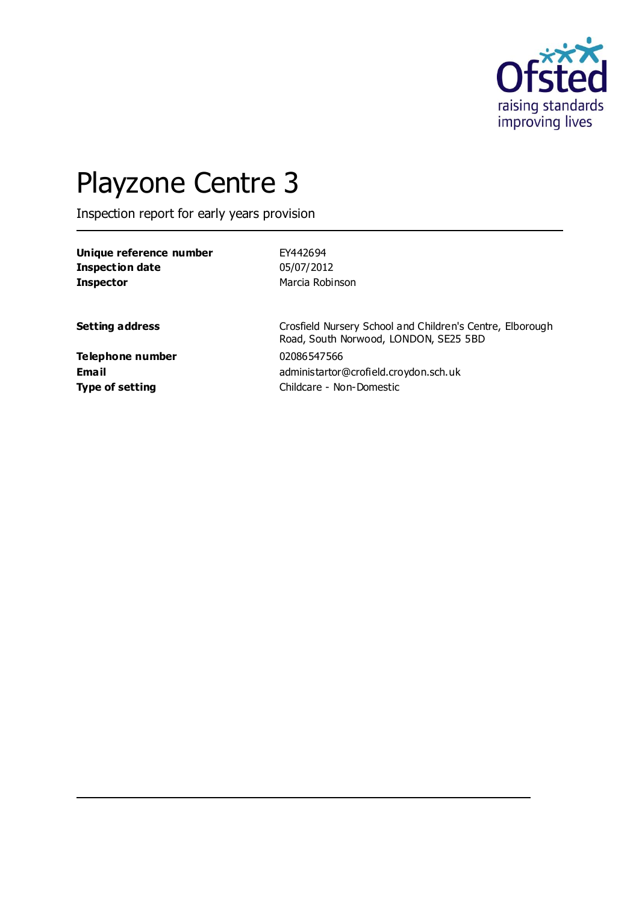

# Playzone Centre 3

Inspection report for early years provision

| Unique reference number | EY442694                                                                                           |
|-------------------------|----------------------------------------------------------------------------------------------------|
| <b>Inspection date</b>  | 05/07/2012                                                                                         |
| <b>Inspector</b>        | Marcia Robinson                                                                                    |
|                         |                                                                                                    |
| <b>Setting address</b>  | Crosfield Nursery School and Children's Centre, Elborough<br>Road, South Norwood, LONDON, SE25 5BD |
| Telephone number        | 02086547566                                                                                        |
| Email                   | administartor@crofield.croydon.sch.uk                                                              |
| <b>Type of setting</b>  | Childcare - Non-Domestic                                                                           |
|                         |                                                                                                    |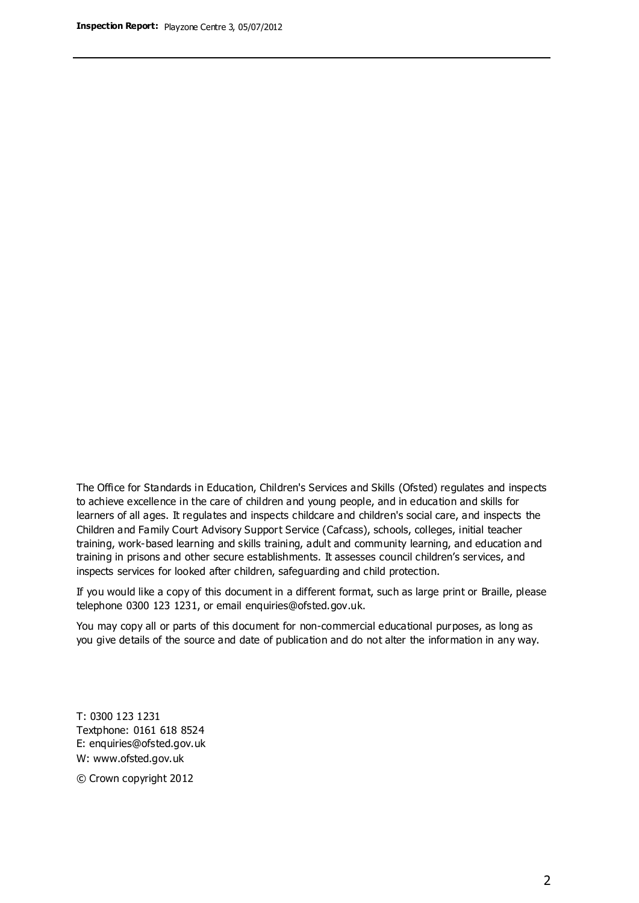The Office for Standards in Education, Children's Services and Skills (Ofsted) regulates and inspects to achieve excellence in the care of children and young people, and in education and skills for learners of all ages. It regulates and inspects childcare and children's social care, and inspects the Children and Family Court Advisory Support Service (Cafcass), schools, colleges, initial teacher training, work-based learning and skills training, adult and community learning, and education and training in prisons and other secure establishments. It assesses council children's services, and inspects services for looked after children, safeguarding and child protection.

If you would like a copy of this document in a different format, such as large print or Braille, please telephone 0300 123 1231, or email enquiries@ofsted.gov.uk.

You may copy all or parts of this document for non-commercial educational purposes, as long as you give details of the source and date of publication and do not alter the information in any way.

T: 0300 123 1231 Textphone: 0161 618 8524 E: enquiries@ofsted.gov.uk W: [www.ofsted.gov.uk](http://www.ofsted.gov.uk/)

© Crown copyright 2012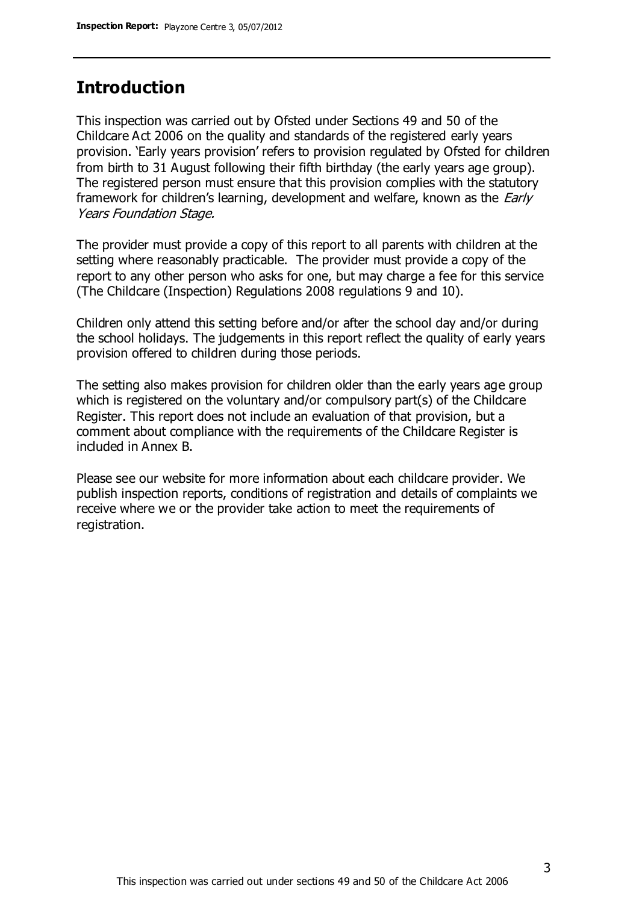#### **Introduction**

This inspection was carried out by Ofsted under Sections 49 and 50 of the Childcare Act 2006 on the quality and standards of the registered early years provision. 'Early years provision' refers to provision regulated by Ofsted for children from birth to 31 August following their fifth birthday (the early years age group). The registered person must ensure that this provision complies with the statutory framework for children's learning, development and welfare, known as the *Early* Years Foundation Stage.

The provider must provide a copy of this report to all parents with children at the setting where reasonably practicable. The provider must provide a copy of the report to any other person who asks for one, but may charge a fee for this service (The Childcare (Inspection) Regulations 2008 regulations 9 and 10).

Children only attend this setting before and/or after the school day and/or during the school holidays. The judgements in this report reflect the quality of early years provision offered to children during those periods.

The setting also makes provision for children older than the early years age group which is registered on the voluntary and/or compulsory part(s) of the Childcare Register. This report does not include an evaluation of that provision, but a comment about compliance with the requirements of the Childcare Register is included in Annex B.

Please see our website for more information about each childcare provider. We publish inspection reports, conditions of registration and details of complaints we receive where we or the provider take action to meet the requirements of registration.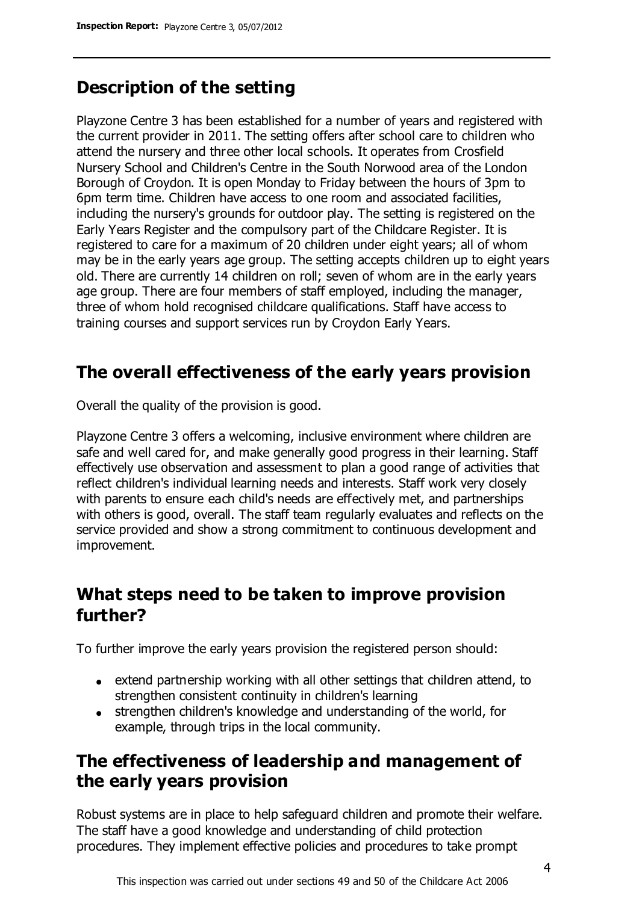## **Description of the setting**

Playzone Centre 3 has been established for a number of years and registered with the current provider in 2011. The setting offers after school care to children who attend the nursery and three other local schools. It operates from Crosfield Nursery School and Children's Centre in the South Norwood area of the London Borough of Croydon. It is open Monday to Friday between the hours of 3pm to 6pm term time. Children have access to one room and associated facilities, including the nursery's grounds for outdoor play. The setting is registered on the Early Years Register and the compulsory part of the Childcare Register. It is registered to care for a maximum of 20 children under eight years; all of whom may be in the early years age group. The setting accepts children up to eight years old. There are currently 14 children on roll; seven of whom are in the early years age group. There are four members of staff employed, including the manager, three of whom hold recognised childcare qualifications. Staff have access to training courses and support services run by Croydon Early Years.

## **The overall effectiveness of the early years provision**

Overall the quality of the provision is good.

Playzone Centre 3 offers a welcoming, inclusive environment where children are safe and well cared for, and make generally good progress in their learning. Staff effectively use observation and assessment to plan a good range of activities that reflect children's individual learning needs and interests. Staff work very closely with parents to ensure each child's needs are effectively met, and partnerships with others is good, overall. The staff team regularly evaluates and reflects on the service provided and show a strong commitment to continuous development and improvement.

#### **What steps need to be taken to improve provision further?**

To further improve the early years provision the registered person should:

- extend partnership working with all other settings that children attend, to strengthen consistent continuity in children's learning
- strengthen children's knowledge and understanding of the world, for example, through trips in the local community.

#### **The effectiveness of leadership and management of the early years provision**

Robust systems are in place to help safeguard children and promote their welfare. The staff have a good knowledge and understanding of child protection procedures. They implement effective policies and procedures to take prompt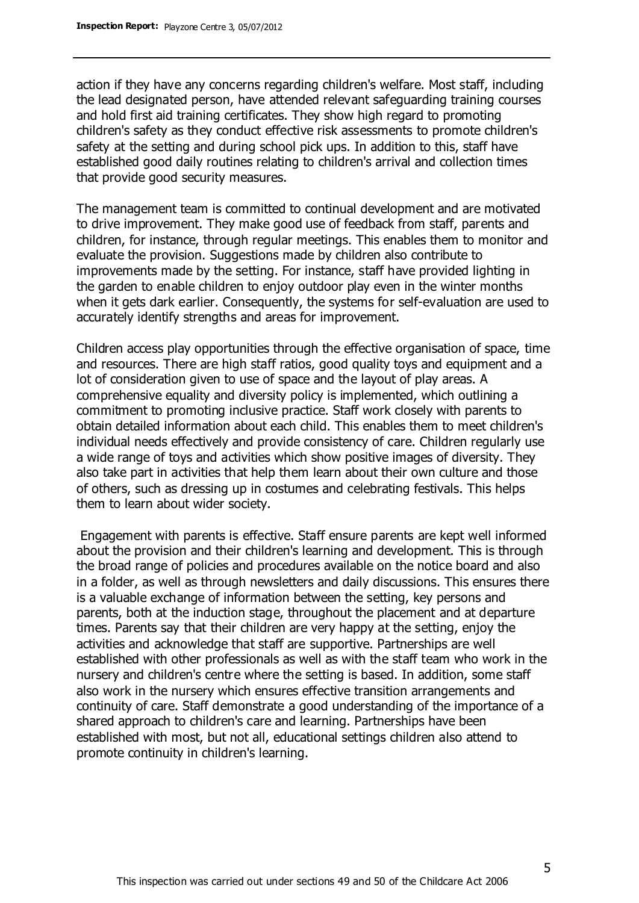action if they have any concerns regarding children's welfare. Most staff, including the lead designated person, have attended relevant safeguarding training courses and hold first aid training certificates. They show high regard to promoting children's safety as they conduct effective risk assessments to promote children's safety at the setting and during school pick ups. In addition to this, staff have established good daily routines relating to children's arrival and collection times that provide good security measures.

The management team is committed to continual development and are motivated to drive improvement. They make good use of feedback from staff, parents and children, for instance, through regular meetings. This enables them to monitor and evaluate the provision. Suggestions made by children also contribute to improvements made by the setting. For instance, staff have provided lighting in the garden to enable children to enjoy outdoor play even in the winter months when it gets dark earlier. Consequently, the systems for self-evaluation are used to accurately identify strengths and areas for improvement.

Children access play opportunities through the effective organisation of space, time and resources. There are high staff ratios, good quality toys and equipment and a lot of consideration given to use of space and the layout of play areas. A comprehensive equality and diversity policy is implemented, which outlining a commitment to promoting inclusive practice. Staff work closely with parents to obtain detailed information about each child. This enables them to meet children's individual needs effectively and provide consistency of care. Children regularly use a wide range of toys and activities which show positive images of diversity. They also take part in activities that help them learn about their own culture and those of others, such as dressing up in costumes and celebrating festivals. This helps them to learn about wider society.

Engagement with parents is effective. Staff ensure parents are kept well informed about the provision and their children's learning and development. This is through the broad range of policies and procedures available on the notice board and also in a folder, as well as through newsletters and daily discussions. This ensures there is a valuable exchange of information between the setting, key persons and parents, both at the induction stage, throughout the placement and at departure times. Parents say that their children are very happy at the setting, enjoy the activities and acknowledge that staff are supportive. Partnerships are well established with other professionals as well as with the staff team who work in the nursery and children's centre where the setting is based. In addition, some staff also work in the nursery which ensures effective transition arrangements and continuity of care. Staff demonstrate a good understanding of the importance of a shared approach to children's care and learning. Partnerships have been established with most, but not all, educational settings children also attend to promote continuity in children's learning.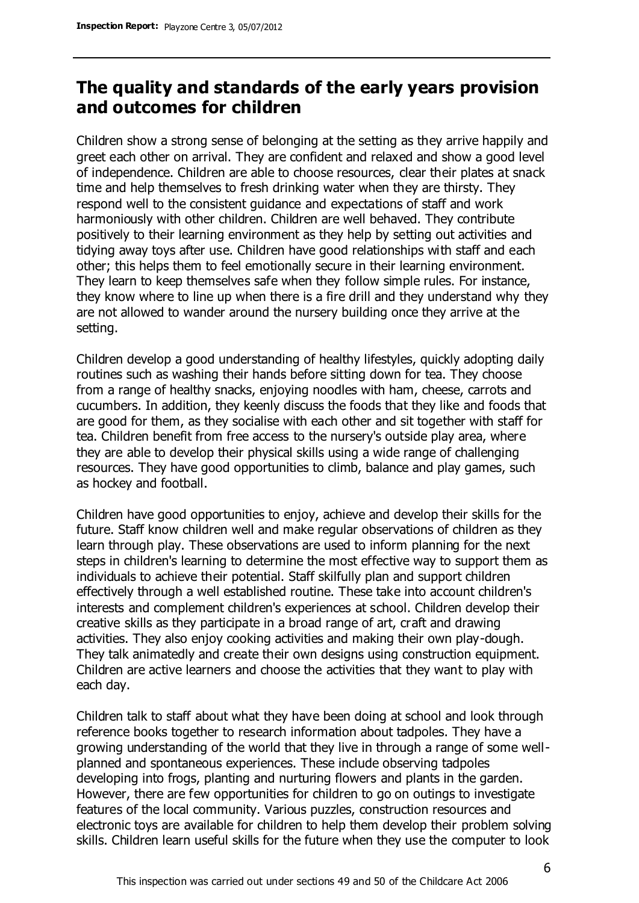## **The quality and standards of the early years provision and outcomes for children**

Children show a strong sense of belonging at the setting as they arrive happily and greet each other on arrival. They are confident and relaxed and show a good level of independence. Children are able to choose resources, clear their plates at snack time and help themselves to fresh drinking water when they are thirsty. They respond well to the consistent guidance and expectations of staff and work harmoniously with other children. Children are well behaved. They contribute positively to their learning environment as they help by setting out activities and tidying away toys after use. Children have good relationships with staff and each other; this helps them to feel emotionally secure in their learning environment. They learn to keep themselves safe when they follow simple rules. For instance, they know where to line up when there is a fire drill and they understand why they are not allowed to wander around the nursery building once they arrive at the setting.

Children develop a good understanding of healthy lifestyles, quickly adopting daily routines such as washing their hands before sitting down for tea. They choose from a range of healthy snacks, enjoying noodles with ham, cheese, carrots and cucumbers. In addition, they keenly discuss the foods that they like and foods that are good for them, as they socialise with each other and sit together with staff for tea. Children benefit from free access to the nursery's outside play area, where they are able to develop their physical skills using a wide range of challenging resources. They have good opportunities to climb, balance and play games, such as hockey and football.

Children have good opportunities to enjoy, achieve and develop their skills for the future. Staff know children well and make regular observations of children as they learn through play. These observations are used to inform planning for the next steps in children's learning to determine the most effective way to support them as individuals to achieve their potential. Staff skilfully plan and support children effectively through a well established routine. These take into account children's interests and complement children's experiences at school. Children develop their creative skills as they participate in a broad range of art, craft and drawing activities. They also enjoy cooking activities and making their own play-dough. They talk animatedly and create their own designs using construction equipment. Children are active learners and choose the activities that they want to play with each day.

Children talk to staff about what they have been doing at school and look through reference books together to research information about tadpoles. They have a growing understanding of the world that they live in through a range of some wellplanned and spontaneous experiences. These include observing tadpoles developing into frogs, planting and nurturing flowers and plants in the garden. However, there are few opportunities for children to go on outings to investigate features of the local community. Various puzzles, construction resources and electronic toys are available for children to help them develop their problem solving skills. Children learn useful skills for the future when they use the computer to look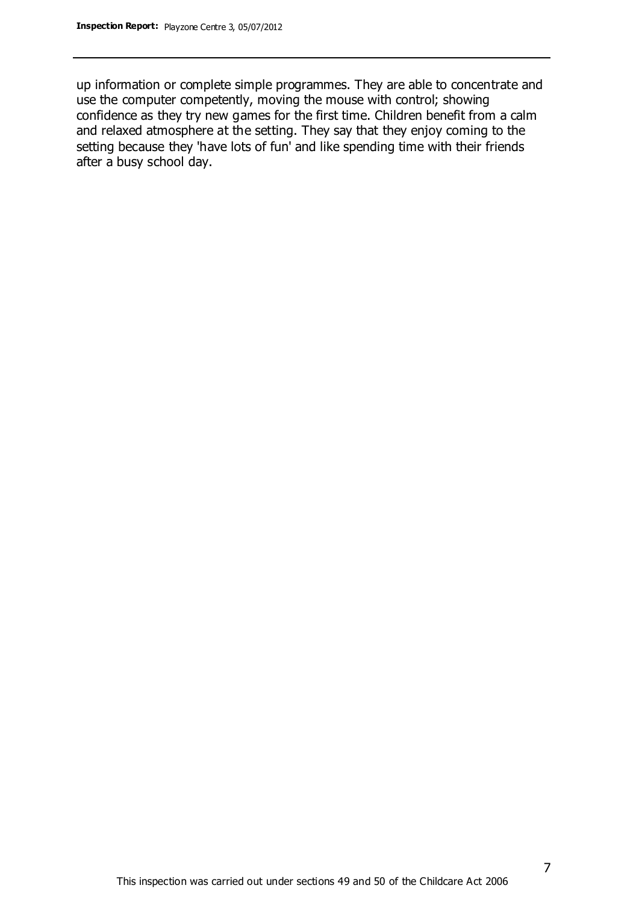up information or complete simple programmes. They are able to concentrate and use the computer competently, moving the mouse with control; showing confidence as they try new games for the first time. Children benefit from a calm and relaxed atmosphere at the setting. They say that they enjoy coming to the setting because they 'have lots of fun' and like spending time with their friends after a busy school day.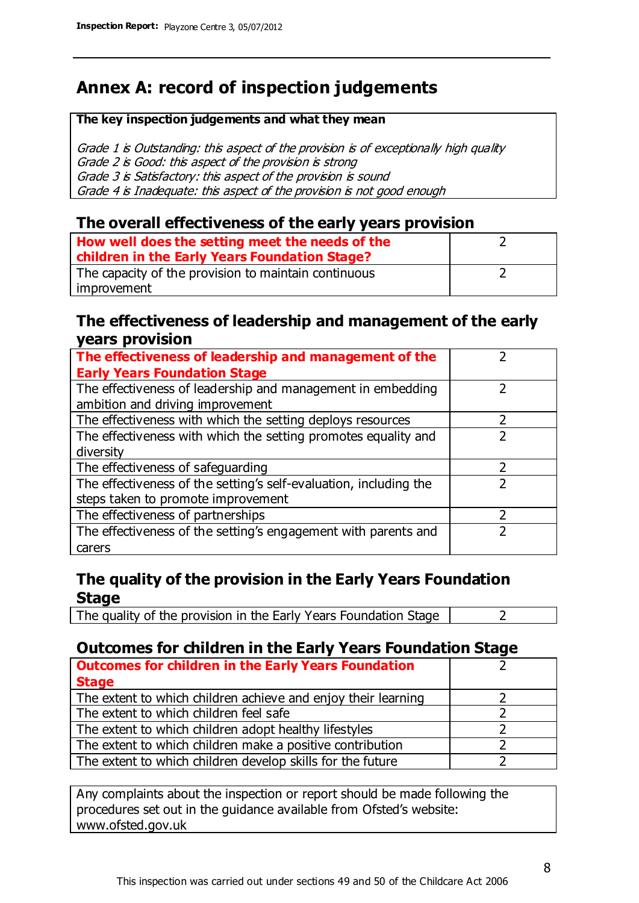## **Annex A: record of inspection judgements**

#### **The key inspection judgements and what they mean**

Grade 1 is Outstanding: this aspect of the provision is of exceptionally high quality Grade 2 is Good: this aspect of the provision is strong Grade 3 is Satisfactory: this aspect of the provision is sound Grade 4 is Inadequate: this aspect of the provision is not good enough

#### **The overall effectiveness of the early years provision**

| How well does the setting meet the needs of the      |  |
|------------------------------------------------------|--|
| children in the Early Years Foundation Stage?        |  |
| The capacity of the provision to maintain continuous |  |
| improvement                                          |  |

#### **The effectiveness of leadership and management of the early years provision**

| The effectiveness of leadership and management of the             |  |
|-------------------------------------------------------------------|--|
| <b>Early Years Foundation Stage</b>                               |  |
| The effectiveness of leadership and management in embedding       |  |
| ambition and driving improvement                                  |  |
| The effectiveness with which the setting deploys resources        |  |
| The effectiveness with which the setting promotes equality and    |  |
| diversity                                                         |  |
| The effectiveness of safeguarding                                 |  |
| The effectiveness of the setting's self-evaluation, including the |  |
| steps taken to promote improvement                                |  |
| The effectiveness of partnerships                                 |  |
| The effectiveness of the setting's engagement with parents and    |  |
| carers                                                            |  |

#### **The quality of the provision in the Early Years Foundation Stage**

The quality of the provision in the Early Years Foundation Stage  $\vert$  2

#### **Outcomes for children in the Early Years Foundation Stage**

| <b>Outcomes for children in the Early Years Foundation</b>    |  |
|---------------------------------------------------------------|--|
| <b>Stage</b>                                                  |  |
| The extent to which children achieve and enjoy their learning |  |
| The extent to which children feel safe                        |  |
| The extent to which children adopt healthy lifestyles         |  |
| The extent to which children make a positive contribution     |  |
| The extent to which children develop skills for the future    |  |

Any complaints about the inspection or report should be made following the procedures set out in the guidance available from Ofsted's website: www.ofsted.gov.uk